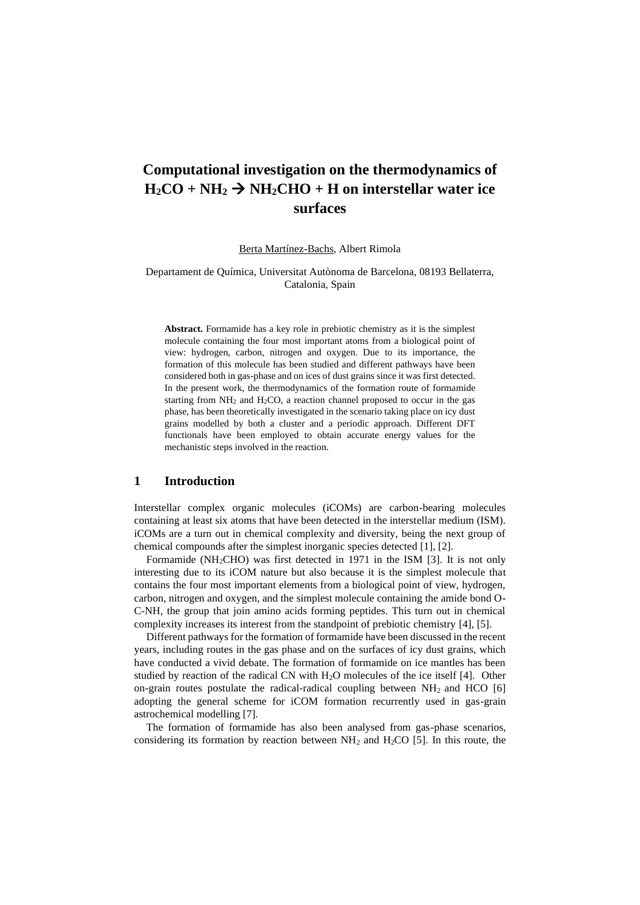# **Computational investigation on the thermodynamics of**   $H_2CO + NH_2 \rightarrow NH_2CHO + H$  on interstellar water ice **surfaces**

Berta Martínez-Bachs, Albert Rimola

Departament de Química, Universitat Autònoma de Barcelona, 08193 Bellaterra, Catalonia, Spain

**Abstract.** Formamide has a key role in prebiotic chemistry as it is the simplest molecule containing the four most important atoms from a biological point of view: hydrogen, carbon, nitrogen and oxygen. Due to its importance, the formation of this molecule has been studied and different pathways have been considered both in gas-phase and on ices of dust grains since it was first detected. In the present work, the thermodynamics of the formation route of formamide starting from NH<sup>2</sup> and H2CO, a reaction channel proposed to occur in the gas phase, has been theoretically investigated in the scenario taking place on icy dust grains modelled by both a cluster and a periodic approach. Different DFT functionals have been employed to obtain accurate energy values for the mechanistic steps involved in the reaction.

## **1 Introduction**

Interstellar complex organic molecules (iCOMs) are carbon-bearing molecules containing at least six atoms that have been detected in the interstellar medium (ISM). iCOMs are a turn out in chemical complexity and diversity, being the next group of chemical compounds after the simplest inorganic species detected [1], [2].

Formamide (NH2CHO) was first detected in 1971 in the ISM [3]. It is not only interesting due to its iCOM nature but also because it is the simplest molecule that contains the four most important elements from a biological point of view, hydrogen, carbon, nitrogen and oxygen, and the simplest molecule containing the amide bond O-C-NH, the group that join amino acids forming peptides. This turn out in chemical complexity increases its interest from the standpoint of prebiotic chemistry [4], [5].

Different pathways for the formation of formamide have been discussed in the recent years, including routes in the gas phase and on the surfaces of icy dust grains, which have conducted a vivid debate. The formation of formamide on ice mantles has been studied by reaction of the radical CN with  $H_2O$  molecules of the ice itself [4]. Other on-grain routes postulate the radical-radical coupling between  $NH<sub>2</sub>$  and HCO [6] adopting the general scheme for iCOM formation recurrently used in gas-grain astrochemical modelling [7].

The formation of formamide has also been analysed from gas-phase scenarios, considering its formation by reaction between  $NH_2$  and  $H_2CO$  [5]. In this route, the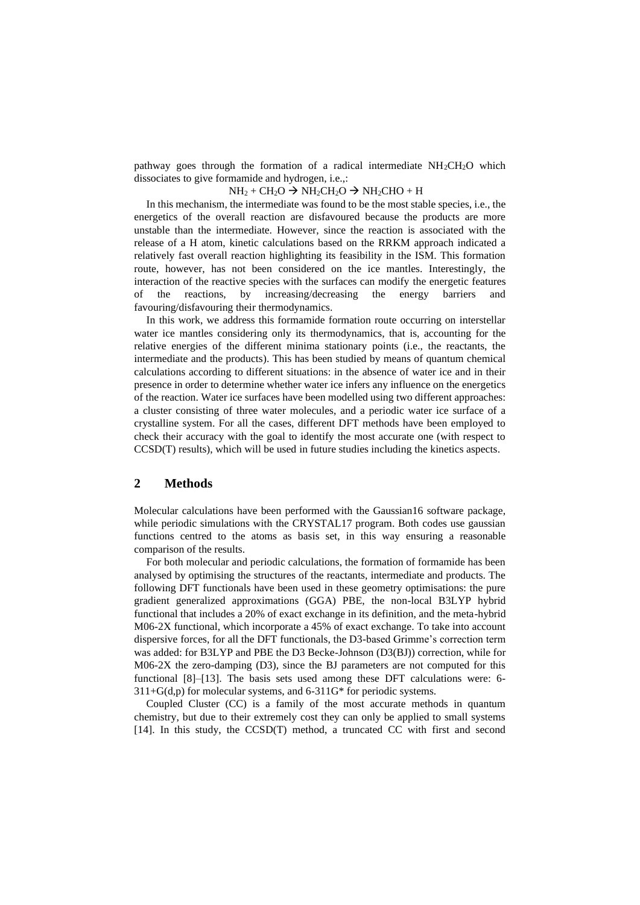pathway goes through the formation of a radical intermediate  $NH<sub>2</sub>CH<sub>2</sub>O$  which dissociates to give formamide and hydrogen, i.e.,:

#### $NH_2 + CH_2O \rightarrow NH_2CH_2O \rightarrow NH_2CHO + H$

In this mechanism, the intermediate was found to be the most stable species, i.e., the energetics of the overall reaction are disfavoured because the products are more unstable than the intermediate. However, since the reaction is associated with the release of a H atom, kinetic calculations based on the RRKM approach indicated a relatively fast overall reaction highlighting its feasibility in the ISM. This formation route, however, has not been considered on the ice mantles. Interestingly, the interaction of the reactive species with the surfaces can modify the energetic features of the reactions, by increasing/decreasing the energy barriers and favouring/disfavouring their thermodynamics.

In this work, we address this formamide formation route occurring on interstellar water ice mantles considering only its thermodynamics, that is, accounting for the relative energies of the different minima stationary points (i.e., the reactants, the intermediate and the products). This has been studied by means of quantum chemical calculations according to different situations: in the absence of water ice and in their presence in order to determine whether water ice infers any influence on the energetics of the reaction. Water ice surfaces have been modelled using two different approaches: a cluster consisting of three water molecules, and a periodic water ice surface of a crystalline system. For all the cases, different DFT methods have been employed to check their accuracy with the goal to identify the most accurate one (with respect to CCSD(T) results), which will be used in future studies including the kinetics aspects.

#### **2 Methods**

Molecular calculations have been performed with the Gaussian16 software package, while periodic simulations with the CRYSTAL17 program. Both codes use gaussian functions centred to the atoms as basis set, in this way ensuring a reasonable comparison of the results.

For both molecular and periodic calculations, the formation of formamide has been analysed by optimising the structures of the reactants, intermediate and products. The following DFT functionals have been used in these geometry optimisations: the pure gradient generalized approximations (GGA) PBE, the non-local B3LYP hybrid functional that includes a 20% of exact exchange in its definition, and the meta-hybrid M06-2X functional, which incorporate a 45% of exact exchange. To take into account dispersive forces, for all the DFT functionals, the D3-based Grimme's correction term was added: for B3LYP and PBE the D3 Becke-Johnson (D3(BJ)) correction, while for M06-2X the zero-damping (D3), since the BJ parameters are not computed for this functional [8]–[13]. The basis sets used among these DFT calculations were: 6-  $311+G(d,p)$  for molecular systems, and 6-311G\* for periodic systems.

Coupled Cluster (CC) is a family of the most accurate methods in quantum chemistry, but due to their extremely cost they can only be applied to small systems [14]. In this study, the CCSD(T) method, a truncated CC with first and second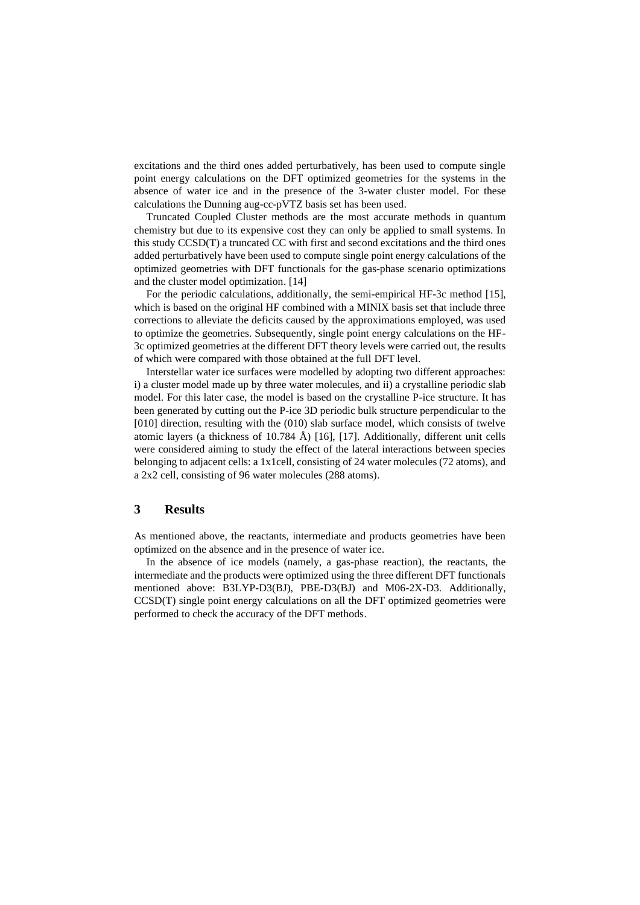excitations and the third ones added perturbatively, has been used to compute single point energy calculations on the DFT optimized geometries for the systems in the absence of water ice and in the presence of the 3-water cluster model. For these calculations the Dunning aug-cc-pVTZ basis set has been used.

Truncated Coupled Cluster methods are the most accurate methods in quantum chemistry but due to its expensive cost they can only be applied to small systems. In this study CCSD(T) a truncated CC with first and second excitations and the third ones added perturbatively have been used to compute single point energy calculations of the optimized geometries with DFT functionals for the gas-phase scenario optimizations and the cluster model optimization. [14]

For the periodic calculations, additionally, the semi-empirical HF-3c method [15], which is based on the original HF combined with a MINIX basis set that include three corrections to alleviate the deficits caused by the approximations employed, was used to optimize the geometries. Subsequently, single point energy calculations on the HF-3c optimized geometries at the different DFT theory levels were carried out, the results of which were compared with those obtained at the full DFT level.

Interstellar water ice surfaces were modelled by adopting two different approaches: i) a cluster model made up by three water molecules, and ii) a crystalline periodic slab model. For this later case, the model is based on the crystalline P-ice structure. It has been generated by cutting out the P-ice 3D periodic bulk structure perpendicular to the [010] direction, resulting with the (010) slab surface model, which consists of twelve atomic layers (a thickness of 10.784 Å) [16], [17]. Additionally, different unit cells were considered aiming to study the effect of the lateral interactions between species belonging to adjacent cells: a 1x1cell, consisting of 24 water molecules (72 atoms), and a 2x2 cell, consisting of 96 water molecules (288 atoms).

## **3 Results**

As mentioned above, the reactants, intermediate and products geometries have been optimized on the absence and in the presence of water ice.

In the absence of ice models (namely, a gas-phase reaction), the reactants, the intermediate and the products were optimized using the three different DFT functionals mentioned above: B3LYP-D3(BJ), PBE-D3(BJ) and M06-2X-D3. Additionally, CCSD(T) single point energy calculations on all the DFT optimized geometries were performed to check the accuracy of the DFT methods.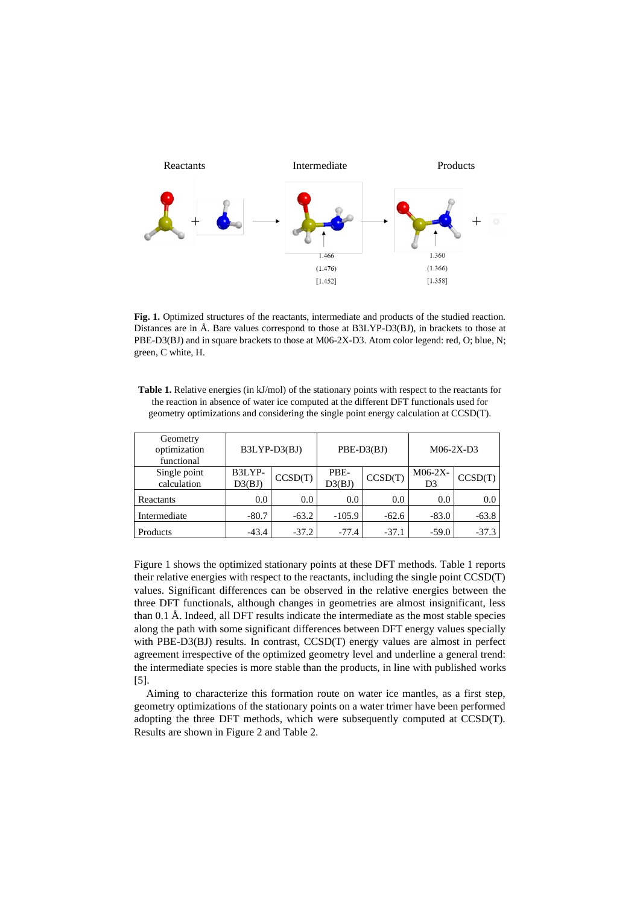

**Fig. 1.** Optimized structures of the reactants, intermediate and products of the studied reaction. Distances are in Å. Bare values correspond to those at B3LYP-D3(BJ), in brackets to those at PBE-D3(BJ) and in square brackets to those at M06-2X-D3. Atom color legend: red, O; blue, N; green, C white, H.

**Table 1.** Relative energies (in kJ/mol) of the stationary points with respect to the reactants for the reaction in absence of water ice computed at the different DFT functionals used for geometry optimizations and considering the single point energy calculation at CCSD(T).

| Geometry<br>optimization<br>functional |                  | B3LYP-D3(BJ) | PBE-D3(BJ)     |         | $M06-2X-D3$                 |         |
|----------------------------------------|------------------|--------------|----------------|---------|-----------------------------|---------|
| Single point<br>calculation            | B3LYP-<br>D3(BJ) | CCSD(T)      | PBE-<br>D3(BJ) | CCSD(T) | $M06-2X-$<br>D <sub>3</sub> | CCSD(T) |
| Reactants                              | 0.0              | 0.0          | 0.0            | 0.0     | 0.0                         | 0.0     |
| Intermediate                           | $-80.7$          | $-63.2$      | $-105.9$       | $-62.6$ | $-83.0$                     | $-63.8$ |
| Products                               | $-43.4$          | $-37.2$      | $-77.4$        | $-37.1$ | $-59.0$                     | $-37.3$ |

Figure 1 shows the optimized stationary points at these DFT methods. Table 1 reports their relative energies with respect to the reactants, including the single point CCSD(T) values. Significant differences can be observed in the relative energies between the three DFT functionals, although changes in geometries are almost insignificant, less than 0.1 Å. Indeed, all DFT results indicate the intermediate as the most stable species along the path with some significant differences between DFT energy values specially with PBE-D3(BJ) results. In contrast, CCSD(T) energy values are almost in perfect agreement irrespective of the optimized geometry level and underline a general trend: the intermediate species is more stable than the products, in line with published works [5].

Aiming to characterize this formation route on water ice mantles, as a first step, geometry optimizations of the stationary points on a water trimer have been performed adopting the three DFT methods, which were subsequently computed at CCSD(T). Results are shown in Figure 2 and Table 2.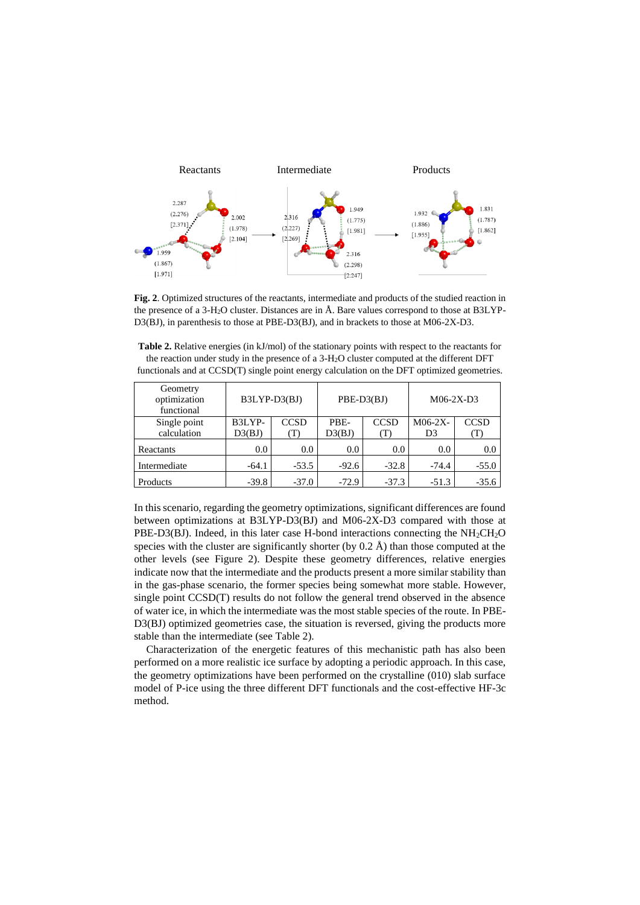

**Fig. 2**. Optimized structures of the reactants, intermediate and products of the studied reaction in the presence of a 3-H2O cluster. Distances are in Å. Bare values correspond to those at B3LYP-D3(BJ), in parenthesis to those at PBE-D3(BJ), and in brackets to those at M06-2X-D3.

| <b>Table 2.</b> Relative energies (in kJ/mol) of the stationary points with respect to the reactants for |
|----------------------------------------------------------------------------------------------------------|
| the reaction under study in the presence of a $3-H_2O$ cluster computed at the different DFT             |
| functionals and at CCSD(T) single point energy calculation on the DFT optimized geometries.              |

| Geometry<br>optimization<br>functional | B3LYP-D3(BJ)     |             | PBE-D3(BJ)     |             | $M06-2X-D3$                 |                   |
|----------------------------------------|------------------|-------------|----------------|-------------|-----------------------------|-------------------|
| Single point<br>calculation            | B3LYP-<br>D3(BJ) | <b>CCSD</b> | PBE-<br>D3(BJ) | <b>CCSD</b> | $M06-2X-$<br>D <sub>3</sub> | <b>CCSD</b><br>T) |
| Reactants                              | 0.0              | 0.0         | 0.0            | 0.0         | 0.0                         | 0.0               |
| Intermediate                           | $-64.1$          | $-53.5$     | $-92.6$        | $-32.8$     | $-74.4$                     | $-55.0$           |
| Products                               | $-39.8$          | $-37.0$     | $-72.9$        | $-37.3$     | $-51.3$                     | $-35.6$           |

In this scenario, regarding the geometry optimizations, significant differences are found between optimizations at B3LYP-D3(BJ) and M06-2X-D3 compared with those at PBE-D3(BJ). Indeed, in this later case H-bond interactions connecting the  $NH<sub>2</sub>CH<sub>2</sub>O$ species with the cluster are significantly shorter (by  $0.2 \text{ Å}$ ) than those computed at the other levels (see Figure 2). Despite these geometry differences, relative energies indicate now that the intermediate and the products present a more similar stability than in the gas-phase scenario, the former species being somewhat more stable. However, single point CCSD(T) results do not follow the general trend observed in the absence of water ice, in which the intermediate was the most stable species of the route. In PBE-D3(BJ) optimized geometries case, the situation is reversed, giving the products more stable than the intermediate (see Table 2).

Characterization of the energetic features of this mechanistic path has also been performed on a more realistic ice surface by adopting a periodic approach. In this case, the geometry optimizations have been performed on the crystalline (010) slab surface model of P-ice using the three different DFT functionals and the cost-effective HF-3c method.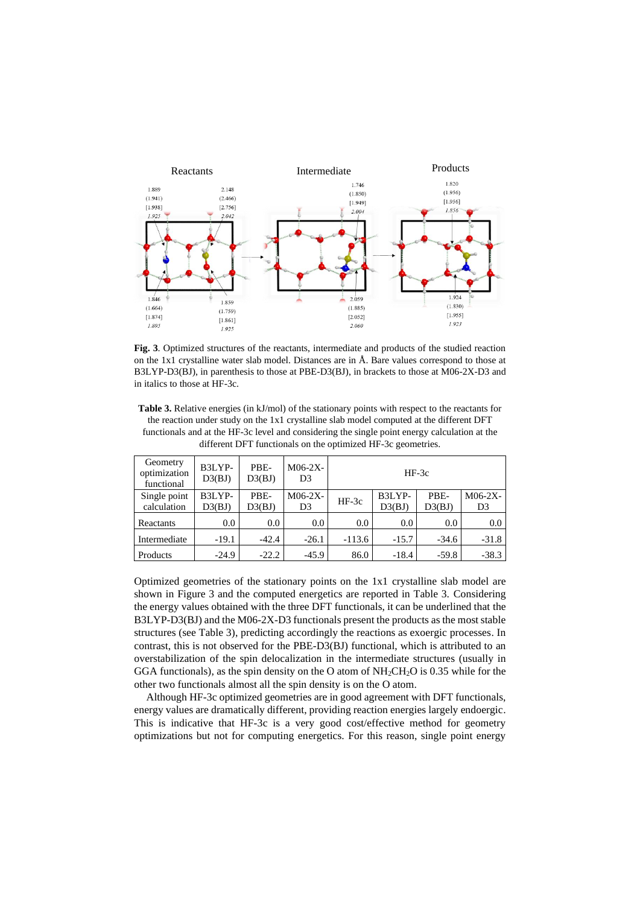

**Fig. 3**. Optimized structures of the reactants, intermediate and products of the studied reaction on the 1x1 crystalline water slab model. Distances are in  $\AA$ . Bare values correspond to those at B3LYP-D3(BJ), in parenthesis to those at PBE-D3(BJ), in brackets to those at M06-2X-D3 and in italics to those at HF-3c.

**Table 3.** Relative energies (in kJ/mol) of the stationary points with respect to the reactants for the reaction under study on the 1x1 crystalline slab model computed at the different DFT functionals and at the HF-3c level and considering the single point energy calculation at the different DFT functionals on the optimized HF-3c geometries.

| Geometry<br>optimization<br>functional | B3LYP-<br>D3(BJ) | PBE-<br>D3(BJ) | $M06-2X-$<br>D <sub>3</sub> |          |                  | $HF-3c$        |                             |
|----------------------------------------|------------------|----------------|-----------------------------|----------|------------------|----------------|-----------------------------|
| Single point<br>calculation            | B3LYP-<br>D3(BJ) | PBE-<br>D3(BJ) | $M06-2X-$<br>D <sub>3</sub> | $HF-3c$  | B3LYP-<br>D3(BJ) | PBE-<br>D3(BJ) | $M06-2X-$<br>D <sub>3</sub> |
| Reactants                              | 0.0              | 0.0            | $0.0\,$                     | 0.0      | 0.0              | 0.0            | 0.0                         |
| Intermediate                           | $-19.1$          | $-42.4$        | $-26.1$                     | $-113.6$ | $-15.7$          | $-34.6$        | $-31.8$                     |
| Products                               | $-24.9$          | $-22.2$        | $-45.9$                     | 86.0     | $-18.4$          | $-59.8$        | $-38.3$                     |

Optimized geometries of the stationary points on the 1x1 crystalline slab model are shown in Figure 3 and the computed energetics are reported in Table 3. Considering the energy values obtained with the three DFT functionals, it can be underlined that the B3LYP-D3(BJ) and the M06-2X-D3 functionals present the products as the most stable structures (see Table 3), predicting accordingly the reactions as exoergic processes. In contrast, this is not observed for the PBE-D3(BJ) functional, which is attributed to an overstabilization of the spin delocalization in the intermediate structures (usually in GGA functionals), as the spin density on the O atom of  $NH<sub>2</sub>CH<sub>2</sub>O$  is 0.35 while for the other two functionals almost all the spin density is on the O atom.

Although HF-3c optimized geometries are in good agreement with DFT functionals, energy values are dramatically different, providing reaction energies largely endoergic. This is indicative that HF-3c is a very good cost/effective method for geometry optimizations but not for computing energetics. For this reason, single point energy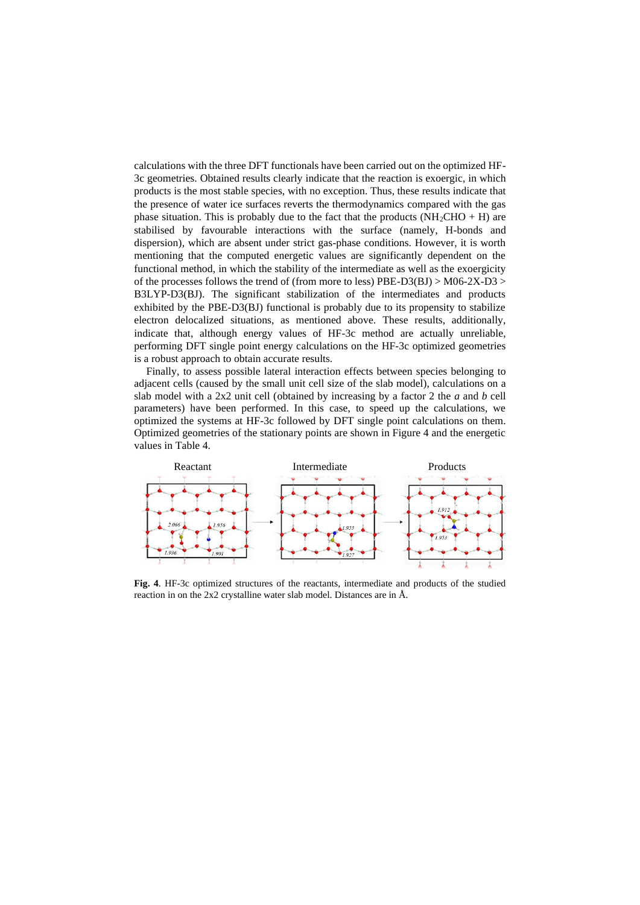calculations with the three DFT functionals have been carried out on the optimized HF-3c geometries. Obtained results clearly indicate that the reaction is exoergic, in which products is the most stable species, with no exception. Thus, these results indicate that the presence of water ice surfaces reverts the thermodynamics compared with the gas phase situation. This is probably due to the fact that the products ( $NH<sub>2</sub>CHO + H$ ) are stabilised by favourable interactions with the surface (namely, H-bonds and dispersion), which are absent under strict gas-phase conditions. However, it is worth mentioning that the computed energetic values are significantly dependent on the functional method, in which the stability of the intermediate as well as the exoergicity of the processes follows the trend of (from more to less)  $PBE-D3(BJ) > M06-2X-D3 >$ B3LYP-D3(BJ). The significant stabilization of the intermediates and products exhibited by the PBE-D3(BJ) functional is probably due to its propensity to stabilize electron delocalized situations, as mentioned above. These results, additionally, indicate that, although energy values of HF-3c method are actually unreliable, performing DFT single point energy calculations on the HF-3c optimized geometries is a robust approach to obtain accurate results.

Finally, to assess possible lateral interaction effects between species belonging to adjacent cells (caused by the small unit cell size of the slab model), calculations on a slab model with a 2x2 unit cell (obtained by increasing by a factor 2 the *a* and *b* cell parameters) have been performed. In this case, to speed up the calculations, we optimized the systems at HF-3c followed by DFT single point calculations on them. Optimized geometries of the stationary points are shown in Figure 4 and the energetic values in Table 4.



**Fig. 4**. HF-3c optimized structures of the reactants, intermediate and products of the studied reaction in on the 2x2 crystalline water slab model. Distances are in Å.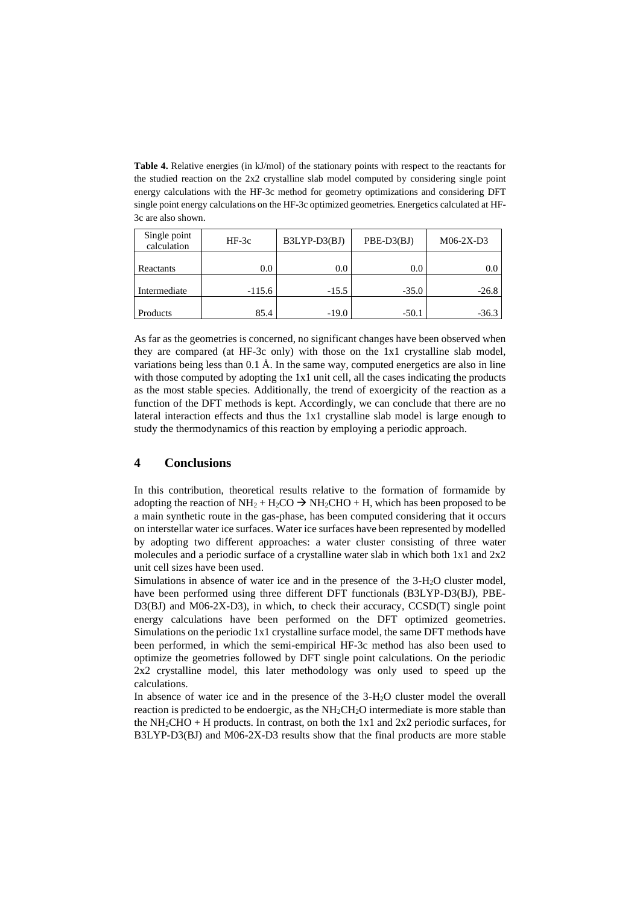**Table 4.** Relative energies (in kJ/mol) of the stationary points with respect to the reactants for the studied reaction on the 2x2 crystalline slab model computed by considering single point energy calculations with the HF-3c method for geometry optimizations and considering DFT single point energy calculations on the HF-3c optimized geometries. Energetics calculated at HF-3c are also shown.

| Single point<br>calculation | $HF-3c$  | B3LYP-D3(BJ) | $PBE-D3(BJ)$ | $M06-2X-D3$ |
|-----------------------------|----------|--------------|--------------|-------------|
| Reactants                   | 0.0      | 0.0          | 0.0          | 0.0         |
|                             |          |              |              |             |
| Intermediate                | $-115.6$ | $-15.5$      | $-35.0$      | $-26.8$     |
|                             |          |              |              |             |
| Products                    | 85.4     | $-19.0$      | $-50.1$      | $-36.3$     |

As far as the geometries is concerned, no significant changes have been observed when they are compared (at HF-3c only) with those on the 1x1 crystalline slab model, variations being less than  $0.1 \text{ Å}$ . In the same way, computed energetics are also in line with those computed by adopting the 1x1 unit cell, all the cases indicating the products as the most stable species. Additionally, the trend of exoergicity of the reaction as a function of the DFT methods is kept. Accordingly, we can conclude that there are no lateral interaction effects and thus the 1x1 crystalline slab model is large enough to study the thermodynamics of this reaction by employing a periodic approach.

# **4 Conclusions**

In this contribution, theoretical results relative to the formation of formamide by adopting the reaction of  $NH_2 + H_2CO \rightarrow NH_2CHO + H$ , which has been proposed to be a main synthetic route in the gas-phase, has been computed considering that it occurs on interstellar water ice surfaces. Water ice surfaces have been represented by modelled by adopting two different approaches: a water cluster consisting of three water molecules and a periodic surface of a crystalline water slab in which both 1x1 and 2x2 unit cell sizes have been used.

Simulations in absence of water ice and in the presence of the 3-H2O cluster model, have been performed using three different DFT functionals (B3LYP-D3(BJ), PBE-D3(BJ) and M06-2X-D3), in which, to check their accuracy, CCSD(T) single point energy calculations have been performed on the DFT optimized geometries. Simulations on the periodic 1x1 crystalline surface model, the same DFT methods have been performed, in which the semi-empirical HF-3c method has also been used to optimize the geometries followed by DFT single point calculations. On the periodic 2x2 crystalline model, this later methodology was only used to speed up the calculations.

In absence of water ice and in the presence of the 3-H2O cluster model the overall reaction is predicted to be endoergic, as the NH<sub>2</sub>CH<sub>2</sub>O intermediate is more stable than the NH<sub>2</sub>CHO + H products. In contrast, on both the  $1x1$  and  $2x2$  periodic surfaces, for B3LYP-D3(BJ) and M06-2X-D3 results show that the final products are more stable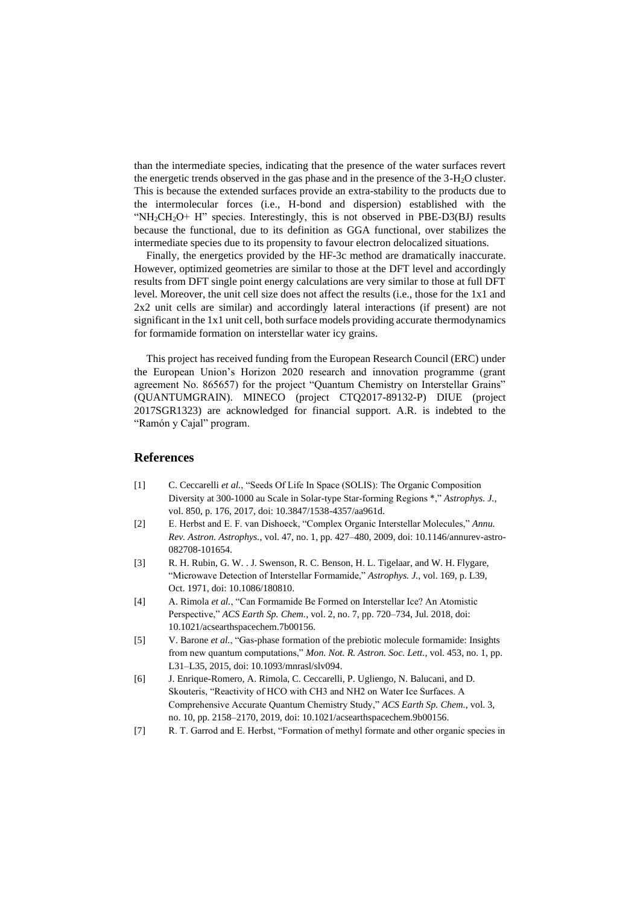than the intermediate species, indicating that the presence of the water surfaces revert the energetic trends observed in the gas phase and in the presence of the  $3-H<sub>2</sub>O$  cluster. This is because the extended surfaces provide an extra-stability to the products due to the intermolecular forces (i.e., H-bond and dispersion) established with the "NH<sub>2</sub>CH<sub>2</sub>O+ H" species. Interestingly, this is not observed in PBE-D3(BJ) results because the functional, due to its definition as GGA functional, over stabilizes the intermediate species due to its propensity to favour electron delocalized situations.

Finally, the energetics provided by the HF-3c method are dramatically inaccurate. However, optimized geometries are similar to those at the DFT level and accordingly results from DFT single point energy calculations are very similar to those at full DFT level. Moreover, the unit cell size does not affect the results (i.e., those for the 1x1 and 2x2 unit cells are similar) and accordingly lateral interactions (if present) are not significant in the 1x1 unit cell, both surface models providing accurate thermodynamics for formamide formation on interstellar water icy grains.

This project has received funding from the European Research Council (ERC) under the European Union's Horizon 2020 research and innovation programme (grant agreement No. 865657) for the project "Quantum Chemistry on Interstellar Grains" (QUANTUMGRAIN). MINECO (project CTQ2017-89132-P) DIUE (project 2017SGR1323) are acknowledged for financial support. A.R. is indebted to the "Ramón y Cajal" program.

#### **References**

- [1] C. Ceccarelli *et al.*, "Seeds Of Life In Space (SOLIS): The Organic Composition Diversity at 300-1000 au Scale in Solar-type Star-forming Regions \*," *Astrophys. J.*, vol. 850, p. 176, 2017, doi: 10.3847/1538-4357/aa961d.
- [2] E. Herbst and E. F. van Dishoeck, "Complex Organic Interstellar Molecules," *Annu. Rev. Astron. Astrophys.*, vol. 47, no. 1, pp. 427–480, 2009, doi: 10.1146/annurev-astro-082708-101654.
- [3] R. H. Rubin, G. W. . J. Swenson, R. C. Benson, H. L. Tigelaar, and W. H. Flygare, "Microwave Detection of Interstellar Formamide," *Astrophys. J.*, vol. 169, p. L39, Oct. 1971, doi: 10.1086/180810.
- [4] A. Rimola *et al.*, "Can Formamide Be Formed on Interstellar Ice? An Atomistic Perspective," *ACS Earth Sp. Chem.*, vol. 2, no. 7, pp. 720–734, Jul. 2018, doi: 10.1021/acsearthspacechem.7b00156.
- [5] V. Barone *et al.*, "Gas-phase formation of the prebiotic molecule formamide: Insights from new quantum computations," *Mon. Not. R. Astron. Soc. Lett.*, vol. 453, no. 1, pp. L31–L35, 2015, doi: 10.1093/mnrasl/slv094.
- [6] J. Enrique-Romero, A. Rimola, C. Ceccarelli, P. Ugliengo, N. Balucani, and D. Skouteris, "Reactivity of HCO with CH3 and NH2 on Water Ice Surfaces. A Comprehensive Accurate Quantum Chemistry Study," *ACS Earth Sp. Chem.*, vol. 3, no. 10, pp. 2158–2170, 2019, doi: 10.1021/acsearthspacechem.9b00156.
- [7] R. T. Garrod and E. Herbst, "Formation of methyl formate and other organic species in